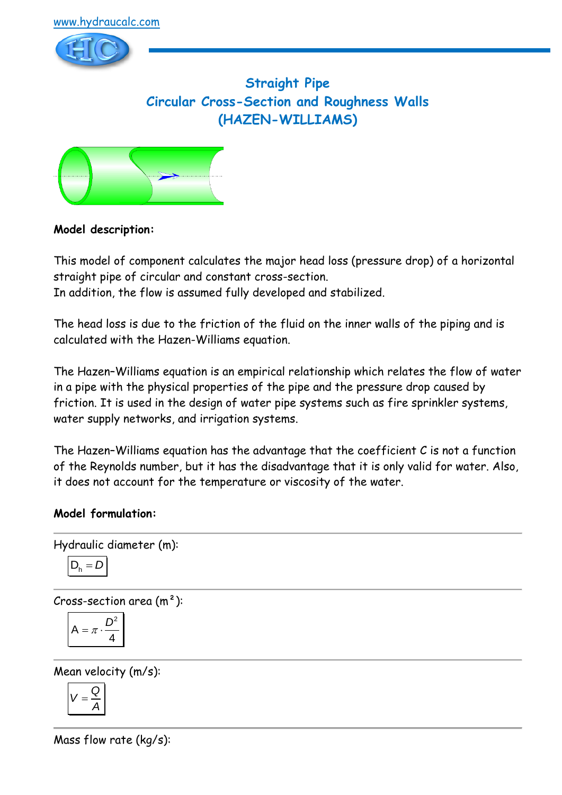



**Straight Pipe Circular Cross-Section and Roughness Walls (HAZEN-WILLIAMS)**



# **Model description:**

This model of component calculates the major head loss (pressure drop) of a horizontal straight pipe of circular and constant cross-section. In addition, the flow is assumed fully developed and stabilized.

The head loss is due to the friction of the fluid on the inner walls of the piping and is calculated with the Hazen-Williams equation.

The Hazen–Williams equation is an empirical relationship which relates the flow of water in a pipe with the physical properties of the pipe and the pressure drop caused by friction. It is used in the design of water pipe systems such as fire sprinkler systems, water supply networks, and irrigation systems.

The Hazen–Williams equation has the advantage that the coefficient C is not a function of the Reynolds number, but it has the disadvantage that it is only valid for water. Also, it does not account for the temperature or viscosity of the water.

# **Model formulation:**

```
Hydraulic diameter (m):
D_{h} = D
```
Cross-section area  $(m<sup>2</sup>)$ :

$$
A = \pi \cdot \frac{D^2}{4}
$$

Mean velocity (m/s):

$$
V=\frac{Q}{A}
$$

Mass flow rate (kg/s):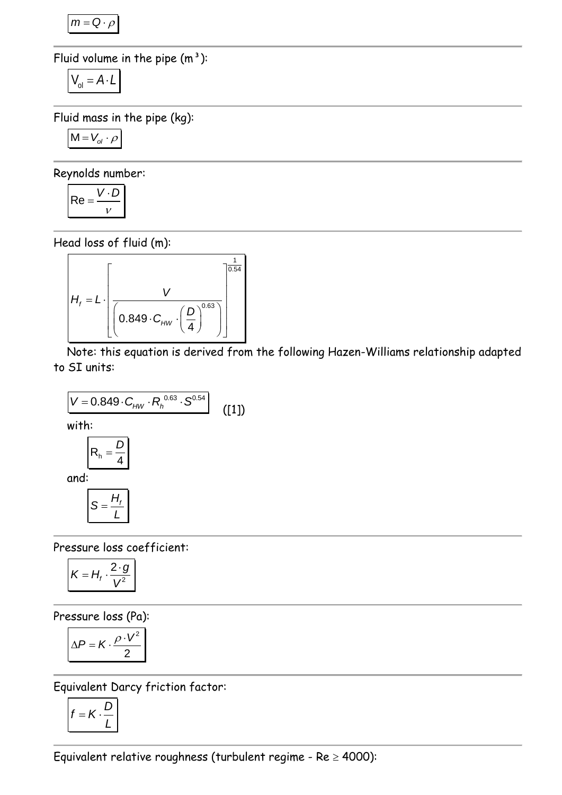$m = Q \cdot \rho$ 

Fluid volume in the pipe  $(m<sup>3</sup>)$ :

$$
V_{ol} = A \cdot L
$$

Fluid mass in the pipe (kg):

$$
M = V_{ol} \cdot \rho
$$

Reynolds number:

$$
Re = \frac{V \cdot D}{V}
$$

Head loss of fluid (m):

$$
H_{f} = L \cdot \left[\frac{V}{\left(0.849 \cdot C_{HW} \cdot \left(\frac{D}{4}\right)^{0.63}\right)}\right]
$$

Note: this equation is derived from the following Hazen-Williams relationship adapted to SI units:

$$
V = 0.849 \cdot C_{HW} \cdot R_h^{0.63} \cdot S^{0.54}
$$
  
with:  

$$
R_h = \frac{D}{4}
$$
  
and:  

$$
S = \frac{H_f}{I}
$$
 (11)

Pressure loss coefficient:

*L* =

$$
K=H_f\cdot\frac{2\cdot g}{V^2}
$$

Pressure loss (Pa):

$$
\Delta P = K \cdot \frac{\rho \cdot V^2}{2}
$$

Equivalent Darcy friction factor:

$$
f = K \cdot \frac{D}{L}
$$

Equivalent relative roughness (turbulent regime -  $Re \ge 4000$ ):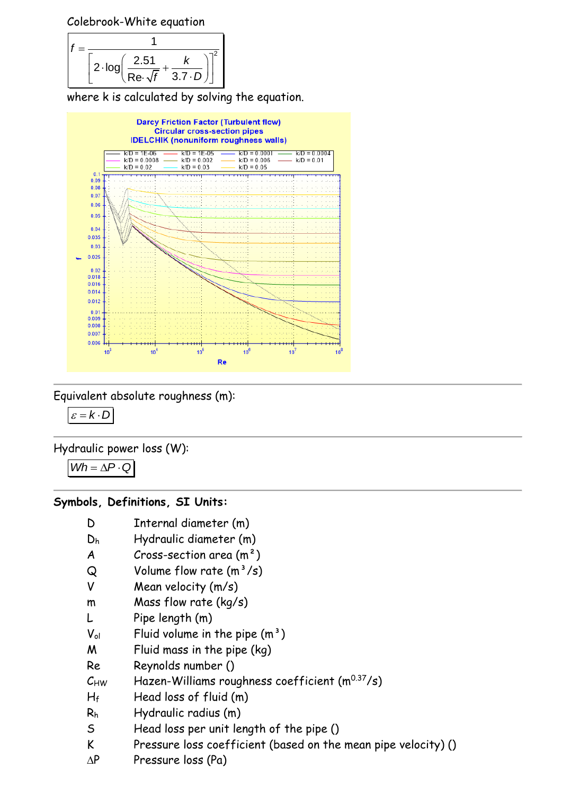Colebrook-White equation

$$
f = \frac{1}{\left[2 \cdot \log\left(\frac{2.51}{\text{Re}\cdot\sqrt{f}} + \frac{k}{3.7 \cdot D}\right)\right]^2}
$$

where k is calculated by solving the equation.



Equivalent absolute roughness (m):

 $\varepsilon = k \cdot D$ 

Hydraulic power loss (W):

$$
Wh = \Delta P \cdot Q
$$

#### **Symbols, Definitions, SI Units:**

- D Internal diameter (m)
- D<sup>h</sup> Hydraulic diameter (m)
- $A$  Cross-section area  $(m<sup>2</sup>)$
- $Q$  Volume flow rate  $(m^3/s)$
- V Mean velocity (m/s)
- m Mass flow rate (kg/s)
- L Pipe length (m)
- $V_{ol}$  Fluid volume in the pipe  $(m<sup>3</sup>)$
- M Fluid mass in the pipe (kg)
- Re Reynolds number ()
- $C_{HW}$  Hazen-Williams roughness coefficient  $(m^{0.37}/s)$
- $H_f$  Head loss of fluid  $(m)$
- R<sup>h</sup> Hydraulic radius (m)
- S Head loss per unit length of the pipe ()
- K Pressure loss coefficient (based on the mean pipe velocity) ()
- $\Delta P$  Pressure loss (Pa)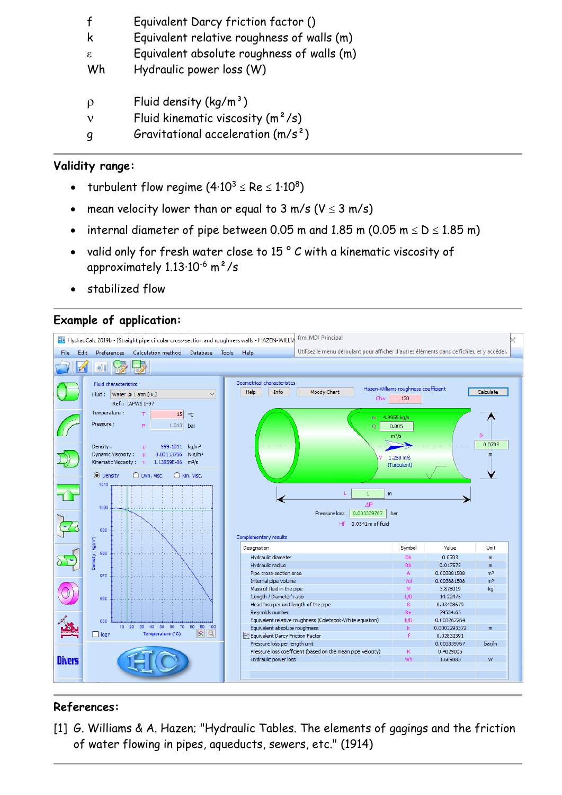|    | Equivalent Darcy friction factor ()        |
|----|--------------------------------------------|
| K  | Equivalent relative roughness of walls (m) |
| ε. | Equivalent absolute roughness of walls (m) |
| Wh | Hydraulic power loss (W)                   |
|    |                                            |
| ρ  | Fluid density $(kq/m^3)$                   |
| ν  | Fluid kinematic viscosity $(m^2/s)$        |
|    | Gravitational acceleration $(m/s^2)$       |

### **Validity range:**

- turbulent flow regime (4 $\cdot 10^3$   $\le$  Re  $\le 1 \cdot 10^8)$
- mean velocity lower than or equal to  $3 \text{ m/s}$  (V  $\leq 3 \text{ m/s}$ )
- internal diameter of pipe between 0.05 m and 1.85 m (0.05 m  $\leq D \leq 1.85$  m)
- valid only for fresh water close to 15 ° C with a kinematic viscosity of approximately 1.13·10-6 m²/s
- stabilized flow

### **Example of application:**



# **References:**

[1] G. Williams & A. Hazen; "Hydraulic Tables. The elements of gagings and the friction of water flowing in pipes, aqueducts, sewers, etc." (1914)